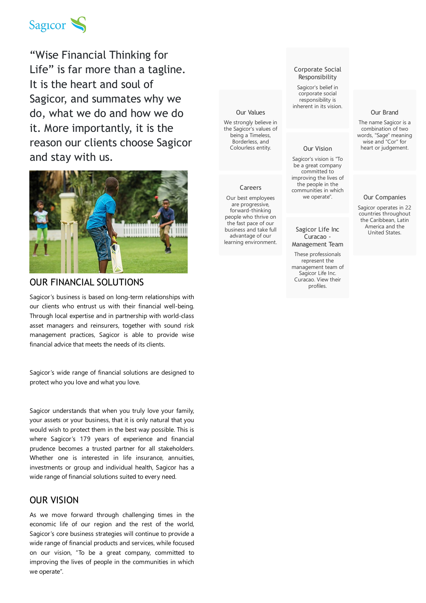

"Wise Financial Thinking for Life" is far more than a tagline. It is the heart and soul of Sagicor, and summates why we do, what we do and how we do it. More importantly, it is the reason our clients choose Sagicor and stay with us.



## OUR FINANCIAL SOLUTIONS

Sagicor's business is based on long-term relationships with our clients who entrust us with their financial well-being. Through local expertise and in partnership with world-class asset managers and reinsurers, together with sound risk management practices, Sagicor is able to provide wise financial advice that meets the needs of its clients.

Sagicor's wide range of financial solutions are designed to protect who you love and what you love.

Sagicor understands that when you truly love your family, your assets or your business, that it is only natural that you would wish to protect them in the best way possible. This is where Sagicor's 179 years of experience and financial prudence becomes a trusted partner for all stakeholders. Whether one is interested in life insurance, annuities, investments or group and individual health, Sagicor has a wide range of financial solutions suited to every need.

# OUR VISION

As we move forward through challenging times in the economic life of our region and the rest of the world, Sagicor's core business strategies will continue to provide a wide range of financial products and services, while focused on our vision, "To be a great company, committed to improving the lives of people in the communities in which we operate".

## Our Values

We strongly believe in the Sagicor's values of being a Timeless, [Borderless,](https://www.sagicor.com/en-CC/About-Sagicor/Our-Values) and Colourless entity.

#### **Careers**

Our best employees are progressive, [forward-thinking](https://www.sagicor.com/en-CC/Careers) people who thrive on the fast pace of our business and take full advantage of our learning environment.

## Corporate Social [Responsibility](https://www.sagicor.com/en-CC/About-Sagicor/Corporate-Social-Responsibility)

Sagicor's belief in corporate social responsibility is inherent in its vision.

#### Our Vision

Sagicor's vision is "To be a great company committed to improving the lives of the people in the [communities](https://www.sagicor.com/en-CC/About-Sagicor/Our-Vision) in which we operate".

## Sagicor Life Inc Curacao - [Management](https://www.sagicor.com/en-CC/About-Sagicor/Executive-Leadership/SLI-CZ-Executive-Management-Team) Team

These professionals represent the management team of Sagicor Life Inc. Curacao. View their profiles.

## Our Brand

The name Sagicor is a [combination](https://www.sagicor.com/en-CC/About-Sagicor/Our-Brand) of two words, "Sage" meaning wise and "Cor" for heart or judgement.

### Our [Companies](https://www.sagicor.com/en-CC/About-Sagicor/Our-Companies)

Sagicor operates in 22 countries throughout the Caribbean, Latin America and the United States.